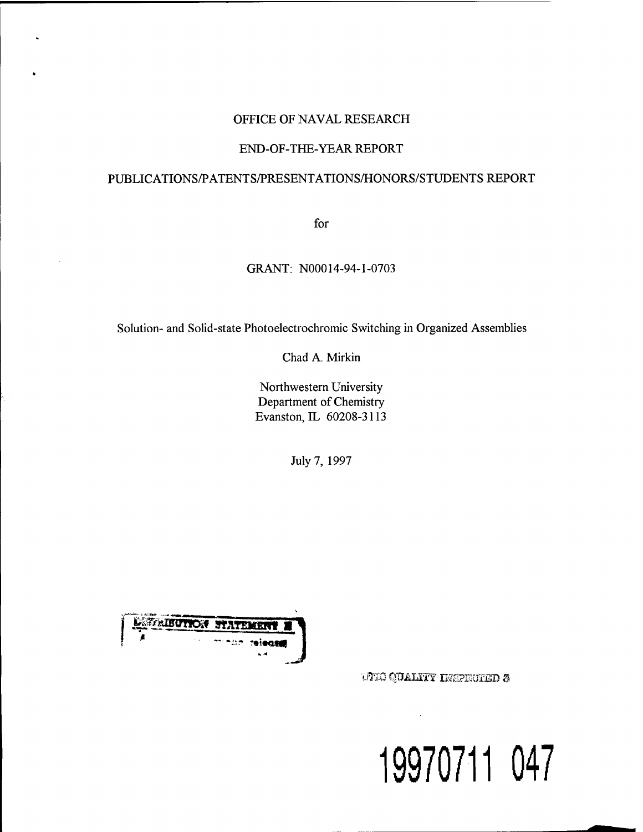### OFFICE OF NAVAL RESEARCH

### END-OF-THE-YEAR REPORT

### PUBLICATIONS/PATENTS/PRESENTATIONS/HONORS/STUDENTS REPORT

for

GRANT: N00014-94-1-0703

Solution- and Solid-state Photoelectrochromic Switching in Organized Assemblies

Chad A. Mirkin

Northwestern University Department of Chemistry Evanston, IL 60208-3113

July 7, 1997



*UTIC QUALITY INSPECTED 3* 

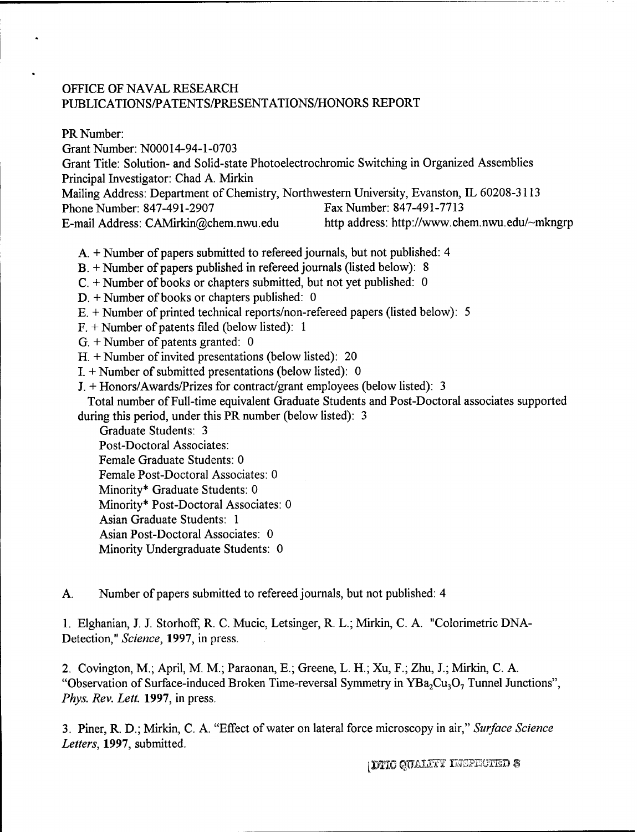### OFFICE OF NAVAL RESEARCH PUBLICATIONS/PATENTS/PRESENTATIONS/HONORS REPORT

PR Number:

Grant Number: N00014-94-1-0703 Grant Title: Solution- and Solid-state Photoelectrochromic Switching in Organized Assemblies Principal Investigator: Chad A. Mirkin Mailing Address: Department of Chemistry, Northwestern University, Evanston, IL 60208-3113<br>Phone Number: 847-491-2907<br>Fax Number: 847-491-7713 Phone Number: 847-491-2907 E-mail Address: CAMirkin@chem.nwu.edu http address: http://www.chem.nwu.edu/~mkngrp

- A. + Number of papers submitted to refereed journals, but not published: 4
- B. + Number of papers published in refereed journals (listed below): 8
- C. + Number of books or chapters submitted, but not yet published: 0
- D. + Number of books or chapters published: 0
- E. + Number of printed technical reports/non-refereed papers (listed below): <sup>5</sup>
- F. + Number of patents filed (below listed): <sup>1</sup>
- G. + Number of patents granted: 0
- $H. +$  Number of invited presentations (below listed): 20
- I. + Number of submitted presentations (below listed): 0
- J. + Honors/Awards/Prizes for contract/grant employees (below listed): 3

Total number ofFull-time equivalent Graduate Students and Post-Doctoral associates supported during this period, under this PR number (below listed): 3

- Graduate Students: 3 Post-Doctoral Associates: Female Graduate Students: 0 Female Post-Doctoral Associates: 0 Minority\* Graduate Students: 0 Minority\* Post-Doctoral Associates: 0 Asian Graduate Students: <sup>1</sup> Asian Post-Doctoral Associates: 0 Minority Undergraduate Students: 0
- A. Number of papers submitted to refereed journals, but not published: 4

1. Elghanian, J. J. Storhoff, R. C. Mucic, Letsinger, R. L.; Mirkin, C. A. "Colorimetric DNA-Detection," *Science,* **1997,** in press.

2. Covington, M.; April, M. M.; Paraonan, E.; Greene, L. H.; Xu, F.; Zhu, J.; Mirkin, C. A. "Observation of Surface-induced Broken Time-reversal Symmetry in  $YBa<sub>2</sub>Cu<sub>3</sub>O<sub>7</sub>$  Tunnel Junctions", *Phys. Rev. Lett.* **1997,** in press.

3. Piner, R. D.; Mirkin, C. A. "Effect of water on lateral force microscopy in air," *Surface Science Letters,* **1997,** submitted.

**[XOTIC QUALITY INSPECTED S**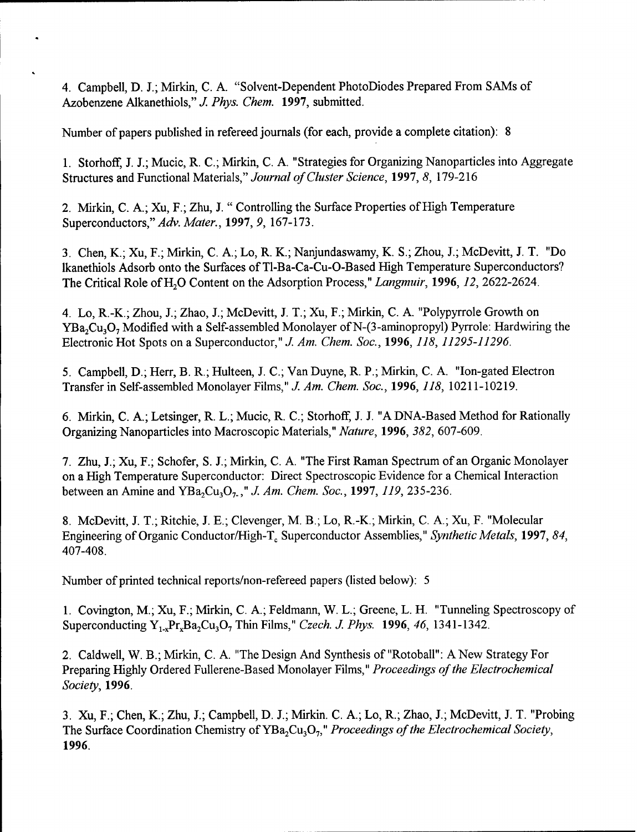4. Campbell, D. J.; Mirkin, C. A. "Solvent-Dependent PhotoDiodes Prepared From SAMs of Azobenzene Alkanethiols," *J. Phys. Chem.* **1997,** submitted.

Number of papers published in refereed journals (for each, provide a complete citation): 8

1. Storhoff, J. J.; Mucic, R. C; Mirkin, C. A. "Strategies for Organizing Nanoparticles into Aggregate Structures and Functional Materials," *Journal ofCluster Science,* **1997,** *8,* 179-216

2. Mirkin, C. A.; Xu, F.; Zhu, J. " Controlling the Surface Properties of High Temperature Superconductors,"^. *Mater.,* **1997,** *9,* 167-173.

3. Chen, K.; Xu, F.; Mirkin, C. A; Lo, R. K.; Nanjundaswamy, K. S.; Zhou, J.; McDevitt, J. T. "Do lkanethiols Adsorb onto the Surfaces of Tl-Ba-Ca-Cu-O-Based High Temperature Superconductors? The Critical Role ofH20 Content on the Adsorption Process," *Langmuir,* **1996,***12,* 2622-2624.

4. Lo, R.-K.; Zhou, J.; Zhao, J.; McDevitt, J. T.; Xu, F.; Mirkin, C. A "Polypyrrole Growth on YBa<sub>2</sub>Cu<sub>2</sub>O<sub>7</sub> Modified with a Self-assembled Monolayer of N-(3-aminopropyl) Pyrrole: Hardwiring the Electronic Hot Spots on <sup>a</sup> Superconductor," *J. Am. Chem. Soc,* **1996,***118,11295-11296.*

5. Campbell, D.; Herr, B. R; Hulteen, J. C; Van Duyne, R. P.; Mirkin, C. A. "Ion-gated Electron Transfer in Self-assembled Monolayer Films," *J. Am. Chem. Soc,* **1996,***118,* 10211-10219.

6. Mirkin, C. A.; Letsinger, R. L.; Mucic, R. C; Storhoff, J. J. "A DNA-Based Method for Rationally Organizing Nanoparticles into Macroscopic Materials," *Nature,* **1996,** *382,* 607-609.

7. Zhu, J.; Xu, F.; Schofer, S. J.; Mirkin, C. A. "The First Raman Spectrum of an Organic Monolayer on a High Temperature Superconductor: Direct Spectroscopic Evidence for a Chemical Interaction between an Amine and YBa^UjO?.," *J. Am. Chem. Soc,* **1997,***119,* 235-236.

8. McDevitt, J. T.; Ritchie, J. E.; Clevenger, M. B.; Lo, R.-K.; Mirkin, C. A.; Xu, F. "Molecular Engineering of Organic Conductor/High-T<sub>c</sub> Superconductor Assemblies," *Synthetic Metals*, 1997, 84, 407-408.

Number of printed technical reports/non-refereed papers (listed below): <sup>5</sup>

1. Covington, M.; Xu, F.; Mirkin, C. A; Feldmann, W. L.; Greene, L. H. "Tunneling Spectroscopy of Superconducting  $Y_{1x}Pr_xBa_2Cu_3O_7$  Thin Films," *Czech. J. Phys.* 1996, 46, 1341-1342.

2. Caldwell, W. B.; Mirkin, C. A. "The Design And Synthesis of "Rotoball": A New Strategy For Preparing Highly Ordered Fullerene-Based Monolayer Films," *Proceedings of the Electrochemical Society,* **1996.**

3. Xu, F.; Chen, K.; Zhu, J.; Campbell, D. J.; Mirkin. C. A.; Lo, R; Zhao, J.; McDevitt, J. T. "Probing The Surface Coordination Chemistry of YBa<sub>2</sub>Cu<sub>3</sub>O<sub>7</sub>," *Proceedings of the Electrochemical Society*, **1996.**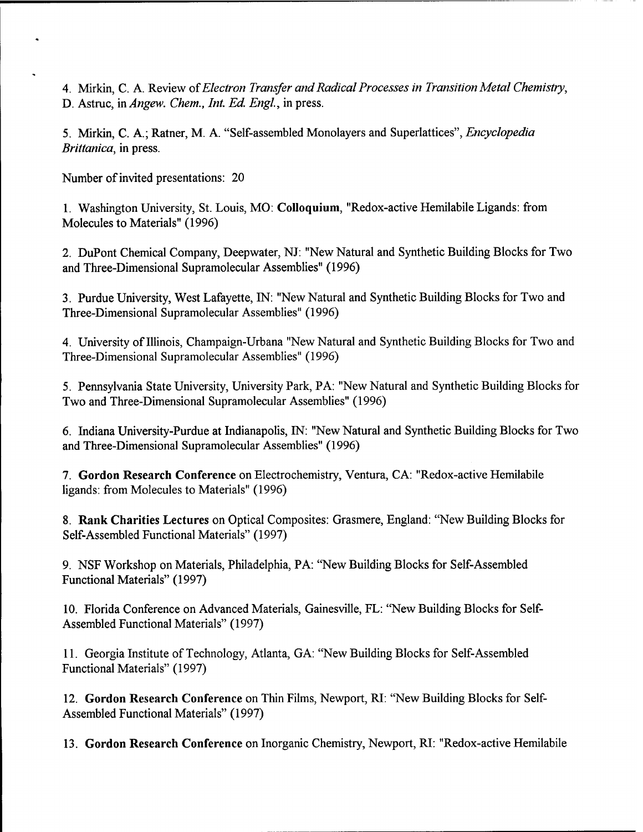4. Mirkin, C. A. Review *ofElectron Transfer andRadical Processes in Transition Metal Chemistry,* D. Astruc, in *Angew. Chem., Int. Ed. Engl,* in press.

5. Mirkin, C. A.; Ratner, M. A. "Self-assembled Monolayers and Superlattices", *Encyclopedia Brittanica,* in press.

Number of invited presentations: 20

1. Washington University, St. Louis, MO: **Colloquium,** "Redox-active Hemilabile Ligands: from Molecules to Materials" (1996)

2. DuPont Chemical Company, Deepwater, NJ: "New Natural and Synthetic Building Blocks for Two and Three-Dimensional Supramolecular Assemblies" (1996)

3. Purdue University, West Lafayette, IN: "New Natural and Synthetic Building Blocks for Two and Three-Dimensional Supramolecular Assemblies" (1996)

4. University of Illinois, Champaign-Urbana "New Natural and Synthetic Building Blocks for Two and Three-Dimensional Supramolecular Assemblies" (1996)

5. Pennsylvania State University, University Park, PA: "New Natural and Synthetic Building Blocks for Two and Three-Dimensional Supramolecular Assemblies" (1996)

6. Indiana University-Purdue at Indianapolis, IN: "New Natural and Synthetic Building Blocks for Two and Three-Dimensional Supramolecular Assemblies" (1996)

7. **Gordon Research Conference** on Electrochemistry, Ventura, CA: "Redox-active Hemilabile ligands: from Molecules to Materials" (1996)

8. **Rank Charities Lectures** on Optical Composites: Grasmere, England: "New Building Blocks for Self-Assembled Functional Materials" (1997)

9. NSF Workshop on Materials, Philadelphia, PA: "New Building Blocks for Self-Assembled Functional Materials" (1997)

10. Florida Conference on Advanced Materials, Gainesville, FL: "New Building Blocks for Self-Assembled Functional Materials" (1997)

11. Georgia Institute of Technology, Atlanta, GA: "New Building Blocks for Self-Assembled Functional Materials" (1997)

12. **Gordon Research Conference** on Thin Films, Newport, RI: "New Building Blocks for Self-Assembled Functional Materials" (1997)

13. **Gordon Research Conference** on Inorganic Chemistry, Newport, RI: "Redox-active Hemilabile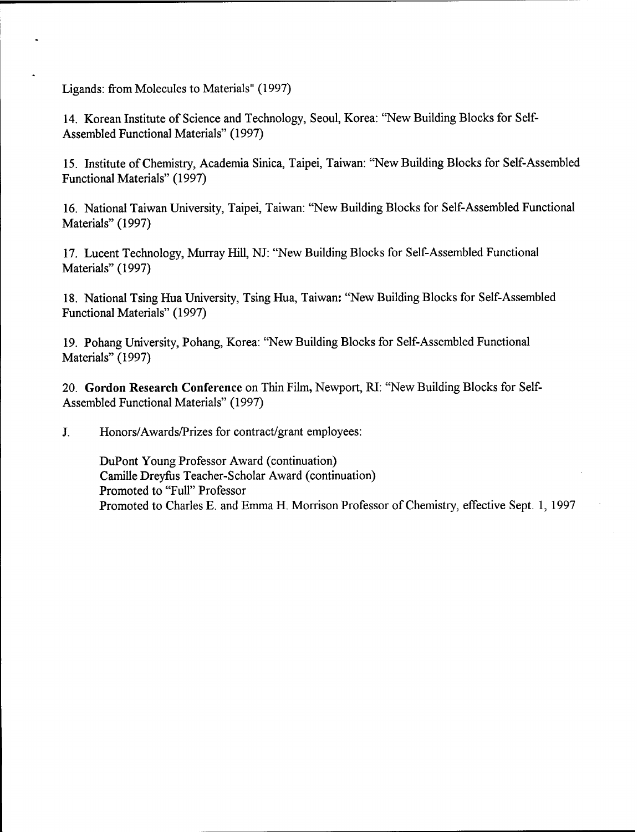Ligands: from Molecules to Materials" (1997)

14. Korean Institute of Science and Technology, Seoul, Korea: "New Building Blocks for Self-Assembled Functional Materials" (1997)

15. Institute ofChemistry, Academia Sinica, Taipei, Taiwan: "New Building Blocks for Self-Assembled Functional Materials" (1997)

16. National Taiwan University, Taipei, Taiwan: "New Building Blocks for Self-Assembled Functional Materials" (1997)

17. Lucent Technology, Murray Hill, NJ: "New Building Blocks for Self-Assembled Functional Materials" (1997)

18. National Tsing Hua University, Tsing Hua, Taiwan: "New Building Blocks for Self-Assembled Functional Materials" (1997)

19. Pohang University, Pohang, Korea: "New Building Blocks for Self-Assembled Functional Materials" (1997)

20. **Gordon Research Conference** on Thin Film, Newport, RI: "New Building Blocks for Self-Assembled Functional Materials" (1997)

J. Honors/Awards/Prizes for contract/grant employees:

DuPont Young Professor Award (continuation) Camille Dreyfus Teacher-Scholar Award (continuation) Promoted to "Full" Professor Promoted to Charles E. and Emma H. Morrison Professor of Chemistry, effective Sept. 1, 1997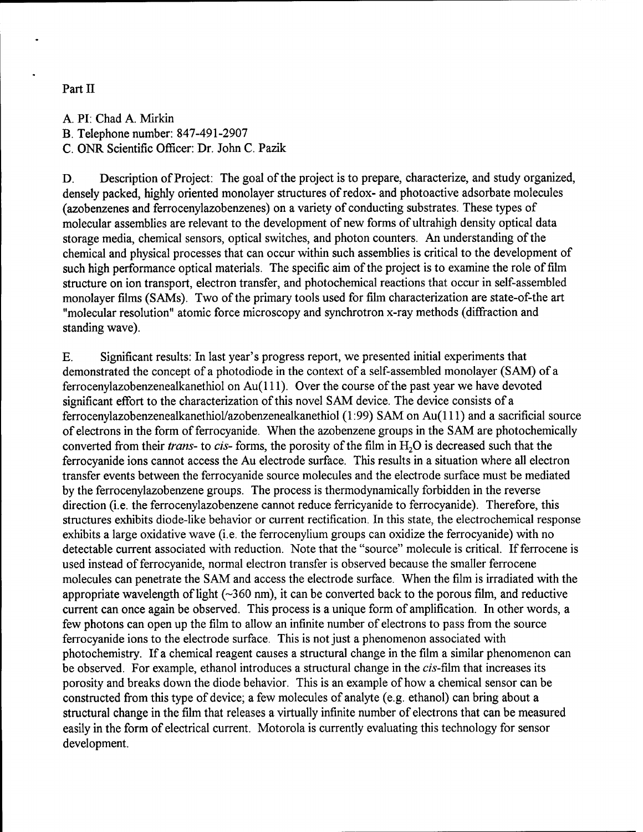### Part II

A. PI: Chad A. Mirkin

B. Telephone number: 847-491-2907

C. ONR Scientific Officer: Dr. John C. Pazik

D. Description of Project: The goal of the project is to prepare, characterize, and study organized, densely packed, highly oriented monolayer structures of redox- and photoactive adsorbate molecules (azobenzenes and ferrocenylazobenzenes) on a variety of conducting substrates. These types of molecular assemblies are relevant to the development of new forms of ultrahigh density optical data storage media, chemical sensors, optical switches, and photon counters. An understanding of the chemical and physical processes that can occur within such assemblies is critical to the development of such high performance optical materials. The specific aim of the project is to examine the role of film structure on ion transport, electron transfer, and photochemical reactions that occur in self-assembled monolayer films (SAMs). Two of the primary tools used for film characterization are state-of-the art "molecular resolution" atomic force microscopy and synchrotron x-ray methods (diffraction and standing wave).

E. Significant results: In last year's progress report, we presented initial experiments that demonstrated the concept of a photodiode in the context of a self-assembled monolayer (SAM) of a ferrocenylazobenzenealkanethiol on  $Au(111)$ . Over the course of the past year we have devoted significant effort to the characterization of this novel SAM device. The device consists of a ferrocenylazobenzenealkanethiol/azobenzenealkanethiol (1:99) SAM on Au(lll) and a sacrificial source of electrons in the form of ferrocyanide. When the azobenzene groups in the SAM are photochemically converted from their *trans*- to *cis*-forms, the porosity of the film in H<sub>2</sub>O is decreased such that the ferrocyanide ions cannot access the Au electrode surface. This results in a situation where all electron transfer events between the ferrocyanide source molecules and the electrode surface must be mediated by the ferrocenylazobenzene groups. The process is thermodynamically forbidden in the reverse direction (i.e. the ferrocenylazobenzene cannot reduce ferricyanide to ferrocyanide). Therefore, this structures exhibits diode-like behavior or current rectification. In this state, the electrochemical response exhibits a large oxidative wave (i.e. the ferrocenylium groups can oxidize the ferrocyanide) with no detectable current associated with reduction. Note that the "source" molecule is critical. Ifferrocene is used instead offerrocyanide, normal electron transfer is observed because the smaller ferrocene molecules can penetrate the SAM and access the electrode surface. When the film is irradiated with the appropriate wavelength of light  $(\sim]360$  nm), it can be converted back to the porous film, and reductive current can once again be observed. This process is a unique form of amplification. In other words, a few photons can open up the film to allow an infinite number of electrons to pass from the source ferrocyanide ions to the electrode surface. This is not just a phenomenon associated with photochemistry. If a chemical reagent causes a structural change in the film a similar phenomenon can be observed. For example, ethanol introduces a structural change in the *cis-film* that increases its porosity and breaks down the diode behavior. This is an example of how a chemical sensor can be constructed from this type of device; a few molecules of analyte (e.g. ethanol) can bring about a structural change in the film that releases a virtually infinite number of electrons that can be measured easily in the form of electrical current. Motorola is currently evaluating this technology for sensor development.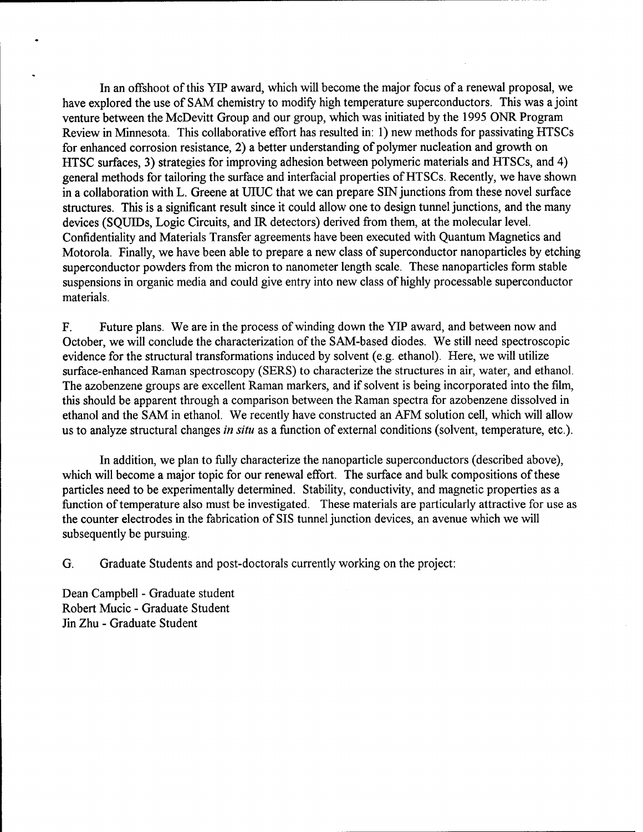In an offshoot of this YIP award, which will become the major focus of a renewal proposal, we have explored the use of SAM chemistry to modify high temperature superconductors. This was a joint venture between the McDevitt Group and our group, which was initiated by the 1995 ONR Program Review in Minnesota. This collaborative effort has resulted in: 1) new methods for passivating HTSCs for enhanced corrosion resistance, 2) a better understanding of polymer nucleation and growth on HTSC surfaces, 3) strategies for improving adhesion between polymeric materials and HTSCs, and 4) general methods for tailoring the surface and interfacial properties of HTSCs. Recently, we have shown in a collaboration with L. Greene at UIUC that we can prepare SIN junctions from these novel surface structures. This is a significant result since it could allow one to design tunnel junctions, and the many devices (SQUIDs, Logic Circuits, and IR detectors) derived from them, at the molecular level. Confidentiality and Materials Transfer agreements have been executed with Quantum Magnetics and Motorola. Finally, we have been able to prepare a new class of superconductor nanoparticles by etching superconductor powders from the micron to nanometer length scale. These nanoparticles form stable suspensions in organic media and could give entry into new class of highly processable superconductor materials.

F. Future plans. We are in the process of winding down the YIP award, and between now and October, we will conclude the characterization of the SAM-based diodes. We still need spectroscopic evidence for the structural transformations induced by solvent (e.g. ethanol). Here, we will utilize surface-enhanced Raman spectroscopy (SERS) to characterize the structures in air, water, and ethanol. The azobenzene groups are excellent Raman markers, and if solvent is being incorporated into the film, this should be apparent through a comparison between the Raman spectra for azobenzene dissolved in ethanol and the SAM in ethanol. We recently have constructed an AFM solution cell, which will allow us to analyze structural changes *in situ* as a function of external conditions (solvent, temperature, etc.).

In addition, we plan to fully characterize the nanoparticle superconductors (described above), which will become a major topic for our renewal effort. The surface and bulk compositions of these particles need to be experimentally determined. Stability, conductivity, and magnetic properties as a function of temperature also must be investigated. These materials are particularly attractive for use as the counter electrodes in the fabrication of SIS tunnel junction devices, an avenue which we will subsequently be pursuing.

G. Graduate Students and post-doctorals currently working on the project:

Dean Campbell - Graduate student Robert Mucic - Graduate Student Jin Zhu - Graduate Student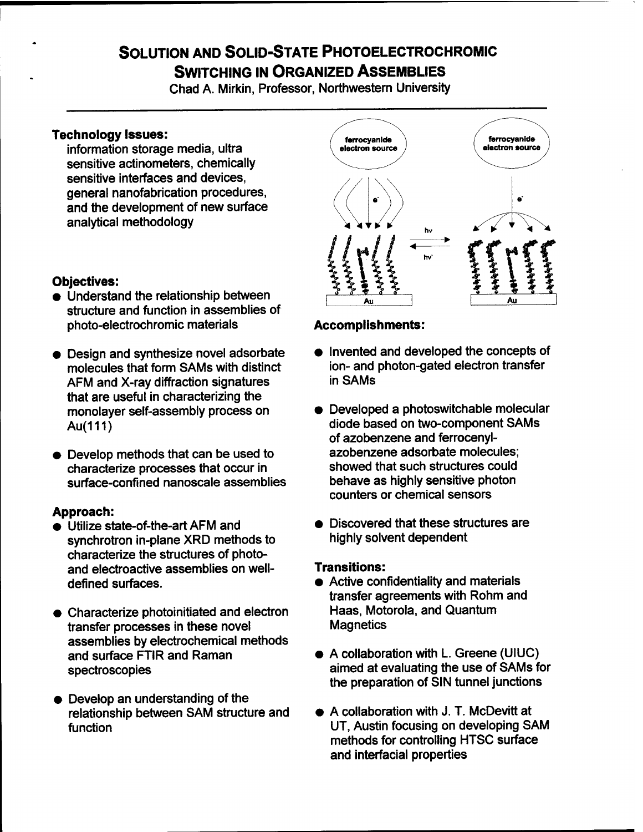### **SOLUTION AND SOLID-STATE PHOTOELECTROCHROWIC SWITCHING IN ORGANIZED ASSEMBLIES**

Chad A. Mirkin, Professor, Northwestern University

### **Technology Issues:**

information storage media, ultra sensitive actinometers, chemically sensitive interfaces and devices, general nanofabrication procedures, and the development of new surface analytical methodology

### **Objectives:**

- Understand the relationship between structure and function in assemblies of photo-electrochromic materials
- Design and synthesize novel adsorbate molecules that form SAMs with distinct AFM and X-ray diffraction signatures that are useful in characterizing the monolayer self-assembly process on Au(111)
- Develop methods that can be used to characterize processes that occur in surface-confined nanoscale assemblies

### **Approach:**

- Utilize state-of-the-art AFM and synchrotron in-plane XRD methods to characterize the structures of photoand electroactive assemblies on welldefined surfaces.
- Characterize photoinitiated and electron transfer processes in these novel assemblies by electrochemical methods and surface FTIR and Raman spectroscopies
- Develop an understanding of the relationship between SAM structure and function



### **Accomplishments:**

- Invented and developed the concepts of ion- and photon-gated electron transfer in SAMs
- Developed <sup>a</sup> photoswitchable molecular diode based on two-component SAMs of azobenzene and ferrocenylazobenzene adsorbate molecules; showed that such structures could behave as highly sensitive photon counters or chemical sensors
- Discovered that these structures are highly solvent dependent

### **Transitions:**

- Active confidentiality and materials transfer agreements with Rohm and Haas, Motorola, and Quantum **Magnetics**
- <sup>A</sup> collaboration with L. Greene (UIUC) aimed at evaluating the use of SAMs for the preparation of SIN tunnel junctions
- <sup>A</sup> collaboration with J. T. McDevitt at UT, Austin focusing on developing SAM methods for controlling HTSC surface and interfacial properties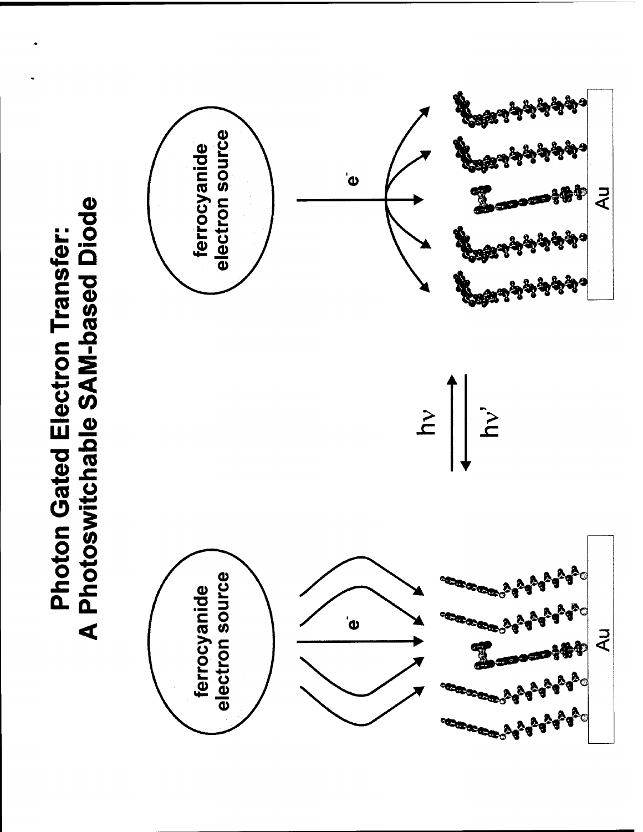**Photon Gated Electron Transfer:<br>A Photoswitchable SAM-based Diode** 

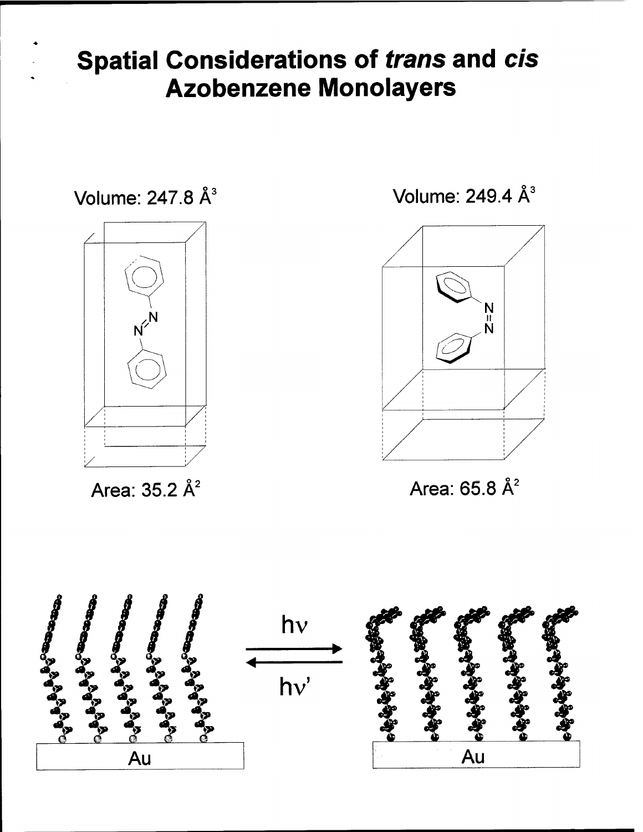# **Spatial Considerations of trans and cis Azobenzene Monolayers**



Area: 35.2 Å<sup>2</sup>

Volume: 249.4 Å<sup>3</sup>



Area: 65.8 Å<sup>2</sup>

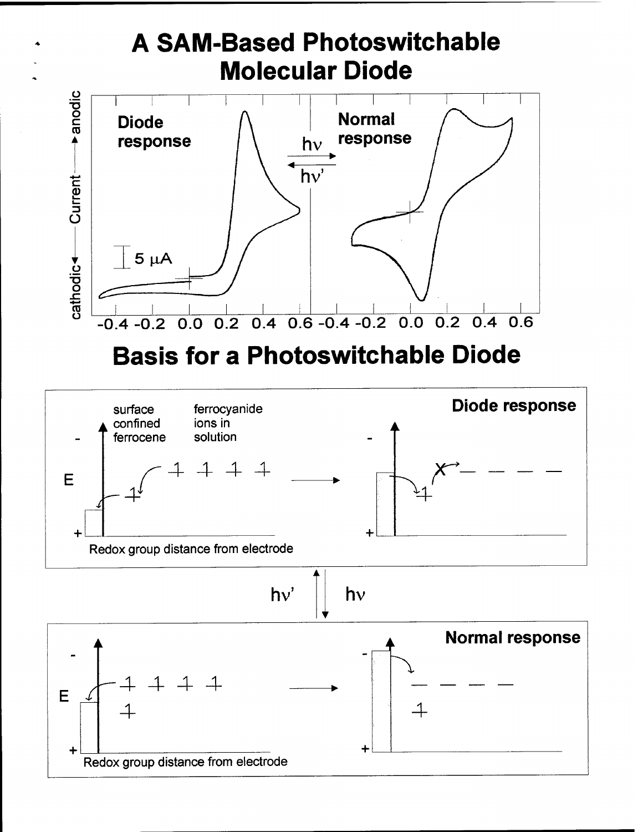

# **Basis for a Photoswitchable Diode**

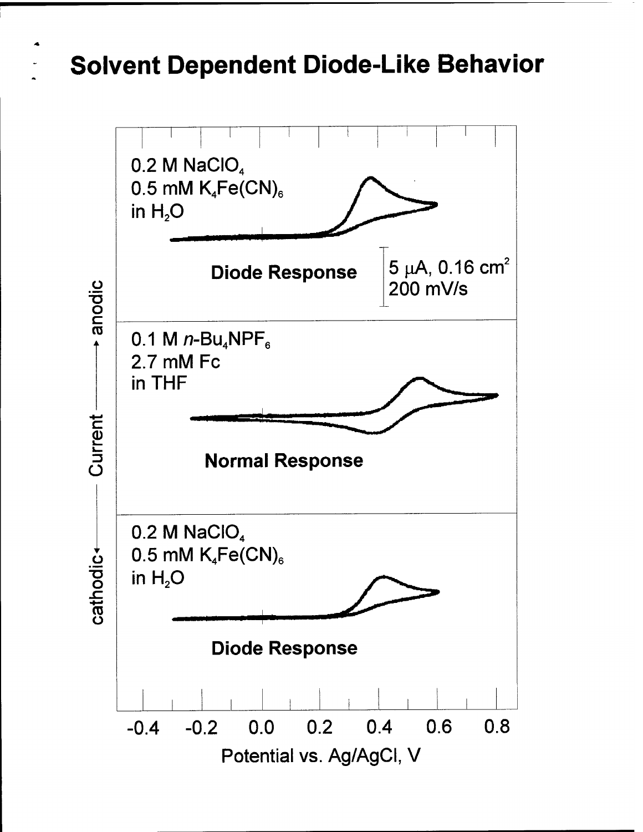## **Solvent Dependent Diode-Like Behavior**

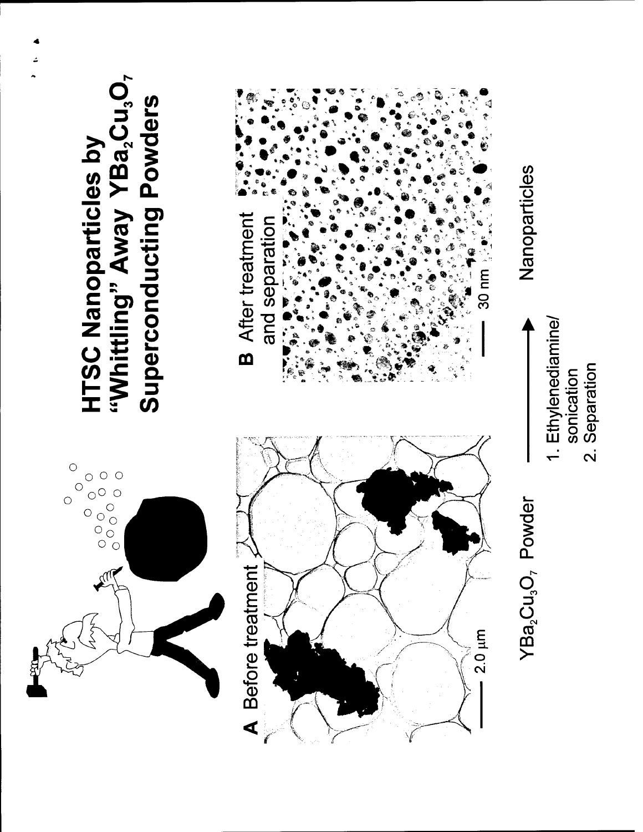